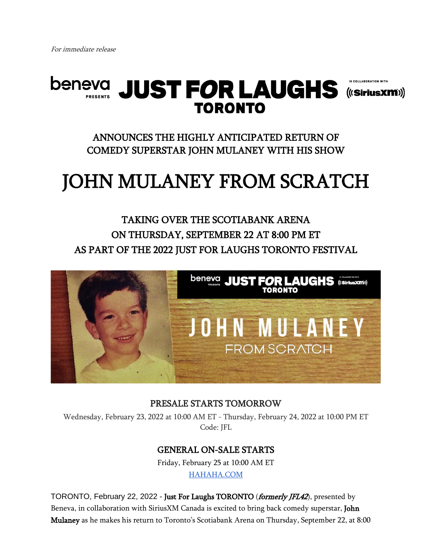

ANNOUNCES THE HIGHLY ANTICIPATED RETURN OF COMEDY SUPERSTAR JOHN MULANEY WITH HIS SHOW

# JOHN MULANEY FROM SCRATCH

## TAKING OVER THE SCOTIABANK ARENA ON THURSDAY, SEPTEMBER 22 AT 8:00 PM ET AS PART OF THE 2022 JUST FOR LAUGHS TORONTO FESTIVAL



#### PRESALE STARTS TOMORROW

Wednesday, February 23, 2022 at 10:00 AM ET - Thursday, February 24, 2022 at 10:00 PM ET Code: JFL

### GENERAL ON-SALE STARTS

Friday, February 25 at 10:00 AM ET [HAHAHA.COM](http://jfltoronto.com/)

TORONTO, February 22, 2022 - Just For Laughs TORONTO (formerly JFL42), presented by Beneva, in collaboration with SiriusXM Canada is excited to bring back comedy superstar, John Mulaney as he makes his return to Toronto's Scotiabank Arena on Thursday, September 22, at 8:00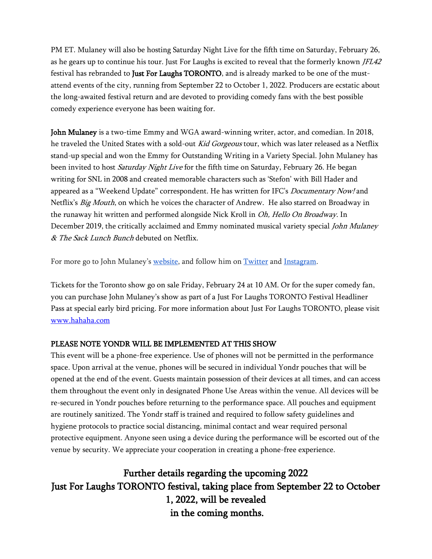PM ET. Mulaney will also be hosting Saturday Night Live for the fifth time on Saturday, February 26, as he gears up to continue his tour. Just For Laughs is excited to reveal that the formerly known JFL42 festival has rebranded to Just For Laughs TORONTO, and is already marked to be one of the mustattend events of the city, running from September 22 to October 1, 2022. Producers are ecstatic about the long-awaited festival return and are devoted to providing comedy fans with the best possible comedy experience everyone has been waiting for.

John Mulaney is a two-time Emmy and WGA award-winning writer, actor, and comedian. In 2018, he traveled the United States with a sold-out Kid Gorgeous tour, which was later released as a Netflix stand-up special and won the Emmy for Outstanding Writing in a Variety Special. John Mulaney has been invited to host *Saturday Night Live* for the fifth time on Saturday, February 26. He began writing for SNL in 2008 and created memorable characters such as 'Stefon' with Bill Hader and appeared as a "Weekend Update" correspondent. He has written for IFC's *Documentary Now!* and Netflix's *Big Mouth*, on which he voices the character of Andrew. He also starred on Broadway in the runaway hit written and performed alongside Nick Kroll in Oh, Hello On Broadway. In December 2019, the critically acclaimed and Emmy nominated musical variety special *John Mulaney* & The Sack Lunch Bunch debuted on Netflix.

For more go to John Mulaney's [website,](http://johnmulaney.com/) and follow him on [Twitter](https://twitter.com/mulaney) and [Instagram.](https://www.instagram.com/johnmulaney/)

Tickets for the Toronto show go on sale Friday, February 24 at 10 AM. Or for the super comedy fan, you can purchase John Mulaney's show as part of a Just For Laughs TORONTO Festival Headliner Pass at special early bird pricing. For more information about Just For Laughs TORONTO, please visit [www.hahaha.](http://www.hahaha./)[com](https://urldefense.proofpoint.com/v2/url?u=http-3A__fltoronto.com_&d=DwMFaQ&c=euGZstcaTDllvimEN8b7jXrwqOf-v5A_CdpgnVfiiMM&r=PLXnZOz7rpJ5n2xSHnGMG8FJ_5q3SBmoEd5LDGon9Co&m=3gcHSBIe7FBV7Wbk8Yj1D2kP2v_Wpvzr7Lau_Uoc7zY&s=uaCc0yTCg6O8ST6UNhJoZgUkbrsywF8qBx8pLL1wL4I&e=)

#### PLEASE NOTE YONDR WILL BE IMPLEMENTED AT THIS SHOW

This event will be a phone-free experience. Use of phones will not be permitted in the performance space. Upon arrival at the venue, phones will be secured in individual Yondr pouches that will be opened at the end of the event. Guests maintain possession of their devices at all times, and can access them throughout the event only in designated Phone Use Areas within the venue. All devices will be re-secured in Yondr pouches before returning to the performance space. All pouches and equipment are routinely sanitized. The Yondr staff is trained and required to follow safety guidelines and hygiene protocols to practice social distancing, minimal contact and wear required personal protective equipment. Anyone seen using a device during the performance will be escorted out of the venue by security. We appreciate your cooperation in creating a phone-free experience.

Further details regarding the upcoming 2022 Just For Laughs TORONTO festival, taking place from September 22 to October 1, 2022, will be revealed in the coming months.